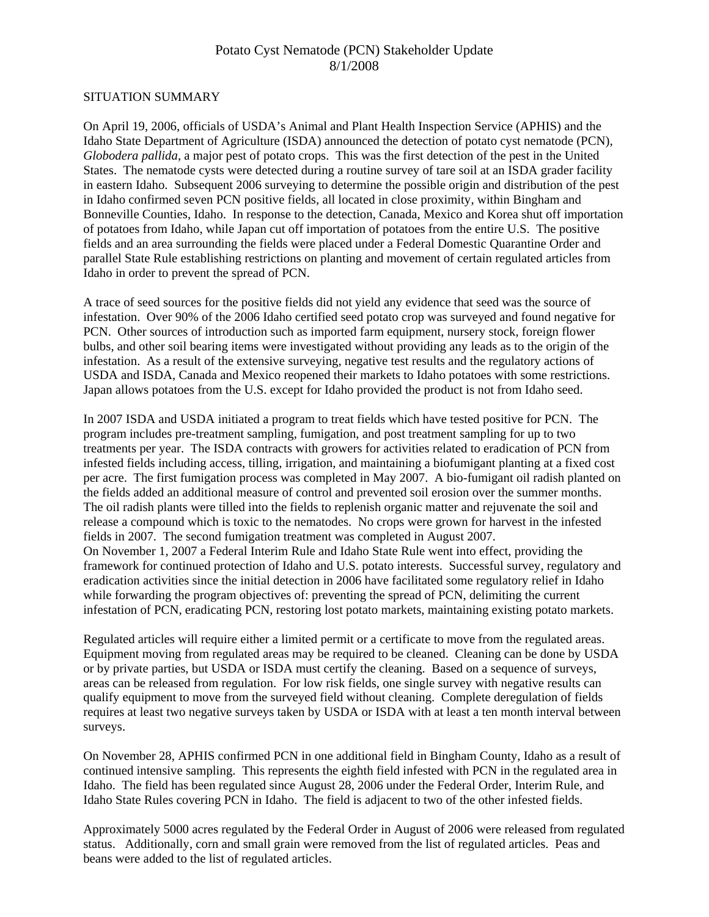# Potato Cyst Nematode (PCN) Stakeholder Update 8/1/2008

#### SITUATION SUMMARY

On April 19, 2006, officials of USDA's Animal and Plant Health Inspection Service (APHIS) and the Idaho State Department of Agriculture (ISDA) announced the detection of potato cyst nematode (PCN), *Globodera pallida*, a major pest of potato crops. This was the first detection of the pest in the United States. The nematode cysts were detected during a routine survey of tare soil at an ISDA grader facility in eastern Idaho. Subsequent 2006 surveying to determine the possible origin and distribution of the pest in Idaho confirmed seven PCN positive fields, all located in close proximity, within Bingham and Bonneville Counties, Idaho. In response to the detection, Canada, Mexico and Korea shut off importation of potatoes from Idaho, while Japan cut off importation of potatoes from the entire U.S. The positive fields and an area surrounding the fields were placed under a Federal Domestic Quarantine Order and parallel State Rule establishing restrictions on planting and movement of certain regulated articles from Idaho in order to prevent the spread of PCN.

A trace of seed sources for the positive fields did not yield any evidence that seed was the source of infestation. Over 90% of the 2006 Idaho certified seed potato crop was surveyed and found negative for PCN. Other sources of introduction such as imported farm equipment, nursery stock, foreign flower bulbs, and other soil bearing items were investigated without providing any leads as to the origin of the infestation. As a result of the extensive surveying, negative test results and the regulatory actions of USDA and ISDA, Canada and Mexico reopened their markets to Idaho potatoes with some restrictions. Japan allows potatoes from the U.S. except for Idaho provided the product is not from Idaho seed.

In 2007 ISDA and USDA initiated a program to treat fields which have tested positive for PCN. The program includes pre-treatment sampling, fumigation, and post treatment sampling for up to two treatments per year. The ISDA contracts with growers for activities related to eradication of PCN from infested fields including access, tilling, irrigation, and maintaining a biofumigant planting at a fixed cost per acre. The first fumigation process was completed in May 2007. A bio-fumigant oil radish planted on the fields added an additional measure of control and prevented soil erosion over the summer months. The oil radish plants were tilled into the fields to replenish organic matter and rejuvenate the soil and release a compound which is toxic to the nematodes. No crops were grown for harvest in the infested fields in 2007. The second fumigation treatment was completed in August 2007. On November 1, 2007 a Federal Interim Rule and Idaho State Rule went into effect, providing the framework for continued protection of Idaho and U.S. potato interests. Successful survey, regulatory and eradication activities since the initial detection in 2006 have facilitated some regulatory relief in Idaho while forwarding the program objectives of: preventing the spread of PCN, delimiting the current infestation of PCN, eradicating PCN, restoring lost potato markets, maintaining existing potato markets.

Regulated articles will require either a limited permit or a certificate to move from the regulated areas. Equipment moving from regulated areas may be required to be cleaned. Cleaning can be done by USDA or by private parties, but USDA or ISDA must certify the cleaning. Based on a sequence of surveys, areas can be released from regulation. For low risk fields, one single survey with negative results can qualify equipment to move from the surveyed field without cleaning. Complete deregulation of fields requires at least two negative surveys taken by USDA or ISDA with at least a ten month interval between surveys.

On November 28, APHIS confirmed PCN in one additional field in Bingham County, Idaho as a result of continued intensive sampling. This represents the eighth field infested with PCN in the regulated area in Idaho. The field has been regulated since August 28, 2006 under the Federal Order, Interim Rule, and Idaho State Rules covering PCN in Idaho. The field is adjacent to two of the other infested fields.

Approximately 5000 acres regulated by the Federal Order in August of 2006 were released from regulated status. Additionally, corn and small grain were removed from the list of regulated articles. Peas and beans were added to the list of regulated articles.